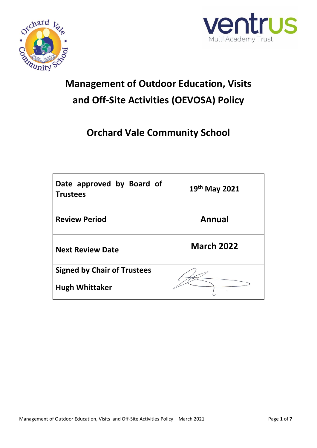



# **Management of Outdoor Education, Visits and Off-Site Activities (OEVOSA) Policy**

# **Orchard Vale Community School**

| Date approved by Board of<br><b>Trustees</b> | 19th May 2021     |  |
|----------------------------------------------|-------------------|--|
| <b>Review Period</b>                         | Annual            |  |
| <b>Next Review Date</b>                      | <b>March 2022</b> |  |
| <b>Signed by Chair of Trustees</b>           |                   |  |
| <b>Hugh Whittaker</b>                        |                   |  |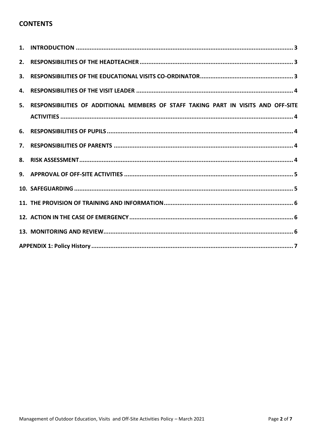# **CONTENTS**

|    | 5. RESPONSIBILITIES OF ADDITIONAL MEMBERS OF STAFF TAKING PART IN VISITS AND OFF-SITE |  |
|----|---------------------------------------------------------------------------------------|--|
|    |                                                                                       |  |
|    |                                                                                       |  |
|    |                                                                                       |  |
| 8. |                                                                                       |  |
|    |                                                                                       |  |
|    |                                                                                       |  |
|    |                                                                                       |  |
|    |                                                                                       |  |
|    |                                                                                       |  |
|    |                                                                                       |  |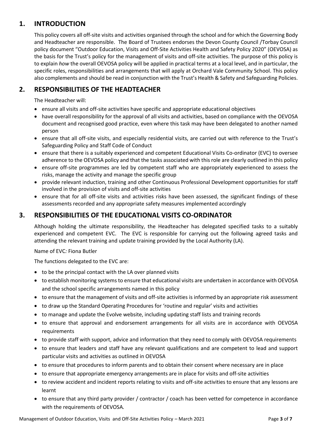# <span id="page-2-0"></span>**1. INTRODUCTION**

This policy covers all off-site visits and activities organised through the school and for which the Governing Body and Headteacher are responsible. The Board of Trustees endorses the Devon County Council /Torbay Council policy document "Outdoor Education, Visits and Off-Site Activities Health and Safety Policy 2020" (OEVOSA) as the basis for the Trust's policy for the management of visits and off-site activities. The purpose of this policy is to explain *how* the overall OEVOSA policy will be applied in practical terms at a local level, and in particular, the specific roles, responsibilities and arrangements that will apply at Orchard Vale Community School. This policy also complements and should be read in conjunction with the Trust's Health & Safety and Safeguarding Policies.

# <span id="page-2-1"></span>**2. RESPONSIBILITIES OF THE HEADTEACHER**

The Headteacher will:

- ensure all visits and off-site activities have specific and appropriate educational objectives
- have overall responsibility for the approval of all visits and activities, based on compliance with the OEVOSA document and recognised good practice, even where this task may have been delegated to another named person
- ensure that all off-site visits, and especially residential visits, are carried out with reference to the Trust's Safeguarding Policy and Staff Code of Conduct
- ensure that there is a suitably experienced and competent Educational Visits Co-ordinator (EVC) to oversee adherence to the OEVOSA policy and that the tasks associated with this role are clearly outlined in this policy
- ensure off-site programmes are led by competent staff who are appropriately experienced to assess the risks, manage the activity and manage the specific group
- provide relevant induction, training and other Continuous Professional Development opportunities for staff involved in the provision of visits and off-site activities
- ensure that for all off-site visits and activities risks have been assessed, the significant findings of these assessments recorded and any appropriate safety measures implemented accordingly

# <span id="page-2-2"></span>**3. RESPONSIBILITIES OF THE EDUCATIONAL VISITS CO-ORDINATOR**

Although holding the ultimate responsibility, the Headteacher has delegated specified tasks to a suitably experienced and competent EVC. The EVC is responsible for carrying out the following agreed tasks and attending the relevant training and update training provided by the Local Authority (LA).

Name of EVC*:* Fiona Butler

The functions delegated to the EVC are:

- to be the principal contact with the LA over planned visits
- to establish monitoring systems to ensure that educational visits are undertaken in accordance with OEVOSA and the school specific arrangements named in this policy
- to ensure that the management of visits and off-site activities is informed by an appropriate risk assessment
- to draw up the Standard Operating Procedures for 'routine and regular' visits and activities
- to manage and update the Evolve website, including updating staff lists and training records
- to ensure that approval and endorsement arrangements for all visits are in accordance with OEVOSA requirements
- to provide staff with support, advice and information that they need to comply with OEVOSA requirements
- to ensure that leaders and staff have any relevant qualifications and are competent to lead and support particular visits and activities as outlined in OEVOSA
- to ensure that procedures to inform parents and to obtain their consent where necessary are in place
- to ensure that appropriate emergency arrangements are in place for visits and off-site activities
- to review accident and incident reports relating to visits and off-site activities to ensure that any lessons are learnt
- to ensure that any third party provider / contractor / coach has been vetted for competence in accordance with the requirements of OEVOSA*.*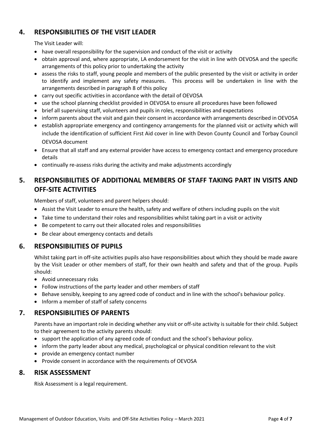# <span id="page-3-0"></span>**4. RESPONSIBILITIES OF THE VISIT LEADER**

The Visit Leader will:

- have overall responsibility for the supervision and conduct of the visit or activity
- obtain approval and, where appropriate, LA endorsement for the visit in line with OEVOSA and the specific arrangements of this policy prior to undertaking the activity
- assess the risks to staff, young people and members of the public presented by the visit or activity in order to identify and implement any safety measures. This process will be undertaken in line with the arrangements described in paragraph 8 of this policy
- carry out specific activities in accordance with the detail of OEVOSA
- use the school planning checklist provided in OEVOSA to ensure all procedures have been followed
- brief all supervising staff, volunteers and pupils in roles, responsibilities and expectations
- inform parents about the visit and gain their consent in accordance with arrangements described in OEVOSA
- establish appropriate emergency and contingency arrangements for the planned visit or activity which will include the identification of sufficient First Aid cover in line with Devon County Council and Torbay Council OEVOSA document
- Ensure that all staff and any external provider have access to emergency contact and emergency procedure details
- <span id="page-3-1"></span>continually re-assess risks during the activity and make adjustments accordingly

# **5. RESPONSIBILITIES OF ADDITIONAL MEMBERS OF STAFF TAKING PART IN VISITS AND OFF-SITE ACTIVITIES**

Members of staff, volunteers and parent helpers should:

- Assist the Visit Leader to ensure the health, safety and welfare of others including pupils on the visit
- Take time to understand their roles and responsibilities whilst taking part in a visit or activity
- Be competent to carry out their allocated roles and responsibilities
- <span id="page-3-2"></span>Be clear about emergency contacts and details

# **6. RESPONSIBILITIES OF PUPILS**

Whilst taking part in off-site activities pupils also have responsibilities about which they should be made aware by the Visit Leader or other members of staff, for their own health and safety and that of the group. Pupils should:

- Avoid unnecessary risks
- Follow instructions of the party leader and other members of staff
- Behave sensibly, keeping to any agreed code of conduct and in line with the school's behaviour policy.
- Inform a member of staff of safety concerns

# <span id="page-3-3"></span>**7. RESPONSIBILITIES OF PARENTS**

Parents have an important role in deciding whether any visit or off-site activity is suitable for their child. Subject to their agreement to the activity parents should:

- support the application of any agreed code of conduct and the school's behaviour policy.
- inform the party leader about any medical, psychological or physical condition relevant to the visit
- <span id="page-3-4"></span>• provide an emergency contact number
- Provide consent in accordance with the requirements of OEVOSA

#### **8. RISK ASSESSMENT**

Risk Assessment is a legal requirement.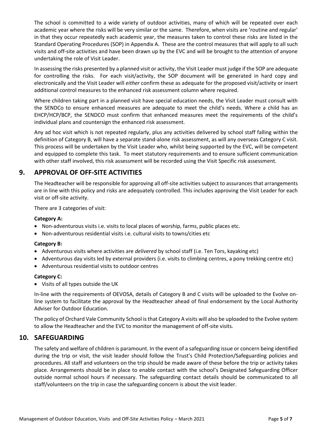The school is committed to a wide variety of outdoor activities, many of which will be repeated over each academic year where the risks will be very similar or the same. Therefore, when visits are 'routine and regular' in that they occur repeatedly each academic year, the measures taken to control these risks are listed in the Standard Operating Procedures (SOP) in Appendix A. These are the control measures that will apply to all such visits and off-site activities and have been drawn up by the EVC and will be brought to the attention of anyone undertaking the role of Visit Leader.

In assessing the risks presented by a planned visit or activity, the Visit Leader must judge if the SOP are adequate for controlling the risks. For each visit/activity, the SOP document will be generated in hard copy and electronically and the Visit Leader will *either* confirm these as adequate for the proposed visit/activity or insert additional control measures to the enhanced risk assessment column where required.

Where children taking part in a planned visit have special education needs, the Visit Leader must consult with the SENDCo to ensure enhanced measures are adequate to meet the child's needs. Where a child has an EHCP/HCP/BCP, the SENDCO must confirm that enhanced measures meet the requirements of the child's individual plans and countersign the enhanced risk assessment.

Any ad hoc visit which is not repeated regularly, plus any activities delivered by school staff falling within the definition of Category B, will have a separate stand-alone risk assessment, as will any overseas Category C visit. This process will be undertaken by the Visit Leader who, whilst being supported by the EVC, will be competent and equipped to complete this task. To meet statutory requirements and to ensure sufficient communication with other staff involved, this risk assessment will be recorded using the Visit Specific risk assessment.

### <span id="page-4-0"></span>**9. APPROVAL OF OFF-SITE ACTIVITIES**

The Headteacher will be responsible for approving all off-site activities subject to assurances that arrangements are in line with this policy and risks are adequately controlled. This includes approving the Visit Leader for each visit or off-site activity.

There are 3 categories of visit:

#### **Category A:**

- Non-adventurous visits i.e. visits to local places of worship, farms, public places etc.
- Non-adventurous residential visits i.e. cultural visits to towns/cities etc

#### **Category B:**

- Adventurous visits where activities are *delivered* by school staff (i.e. Ten Tors, kayaking etc)
- Adventurous day visits led by external providers (i.e. visits to climbing centres, a pony trekking centre etc)
- Adventurous residential visits to outdoor centres

#### **Category C:**

Visits of all types outside the UK

In-line with the requirements of OEVOSA, details of Category B and C visits will be uploaded to the Evolve online system to facilitate the approval by the Headteacher ahead of final endorsement by the Local Authority Adviser for Outdoor Education.

The policy of Orchard Vale Community School is that Category A visits will also be uploaded to the Evolve system to allow the Headteacher and the EVC to monitor the management of off-site visits.

#### <span id="page-4-1"></span>**10. SAFEGUARDING**

<span id="page-4-2"></span>The safety and welfare of children is paramount. In the event of a safeguarding issue or concern being identified during the trip or visit, the visit leader should follow the Trust's Child Protection/Safeguarding policies and procedures. All staff and volunteers on the trip should be made aware of these before the trip or activity takes place. Arrangements should be in place to enable contact with the school's Designated Safeguarding Officer outside normal school hours if necessary. The safeguarding contact details should be communicated to all staff/volunteers on the trip in case the safeguarding concern is about the visit leader.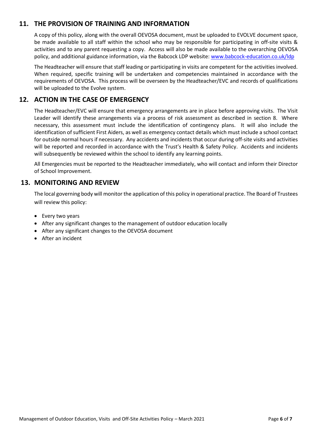#### **11. THE PROVISION OF TRAINING AND INFORMATION**

A copy of this policy, along with the overall OEVOSA document, must be uploaded to EVOLVE document space, be made available to all staff within the school who may be responsible for participating in off-site visits & activities and to any parent requesting a copy. Access will also be made available to the overarching OEVOSA policy, and additional guidance information, via the Babcock LDP website: [www.babcock-education.co.uk/ldp](http://www.babcock-education.co.uk/ldp) 

The Headteacher will ensure that staff leading or participating in visits are competent for the activities involved. When required, specific training will be undertaken and competencies maintained in accordance with the requirements of OEVOSA. This process will be overseen by the Headteacher/EVC and records of qualifications will be uploaded to the Evolve system.

#### <span id="page-5-0"></span>**12. ACTION IN THE CASE OF EMERGENCY**

The Headteacher/EVC will ensure that emergency arrangements are in place before approving visits. The Visit Leader will identify these arrangements via a process of risk assessment as described in section 8. Where necessary, this assessment must include the identification of contingency plans. It will also include the identification of sufficient First Aiders, as well as emergency contact details which must include a school contact for outside normal hours if necessary. Any accidents and incidents that occur during off-site visits and activities will be reported and recorded in accordance with the Trust's Health & Safety Policy. Accidents and incidents will subsequently be reviewed within the school to identify any learning points.

All Emergencies must be reported to the Headteacher immediately, who will contact and inform their Director of School Improvement.

#### <span id="page-5-1"></span>**13. MONITORING AND REVIEW**

The local governing body will monitor the application of this policy in operational practice. The Board of Trustees will review this policy:

- Every two years
- After any significant changes to the management of outdoor education locally
- After any significant changes to the OEVOSA document
- After an incident